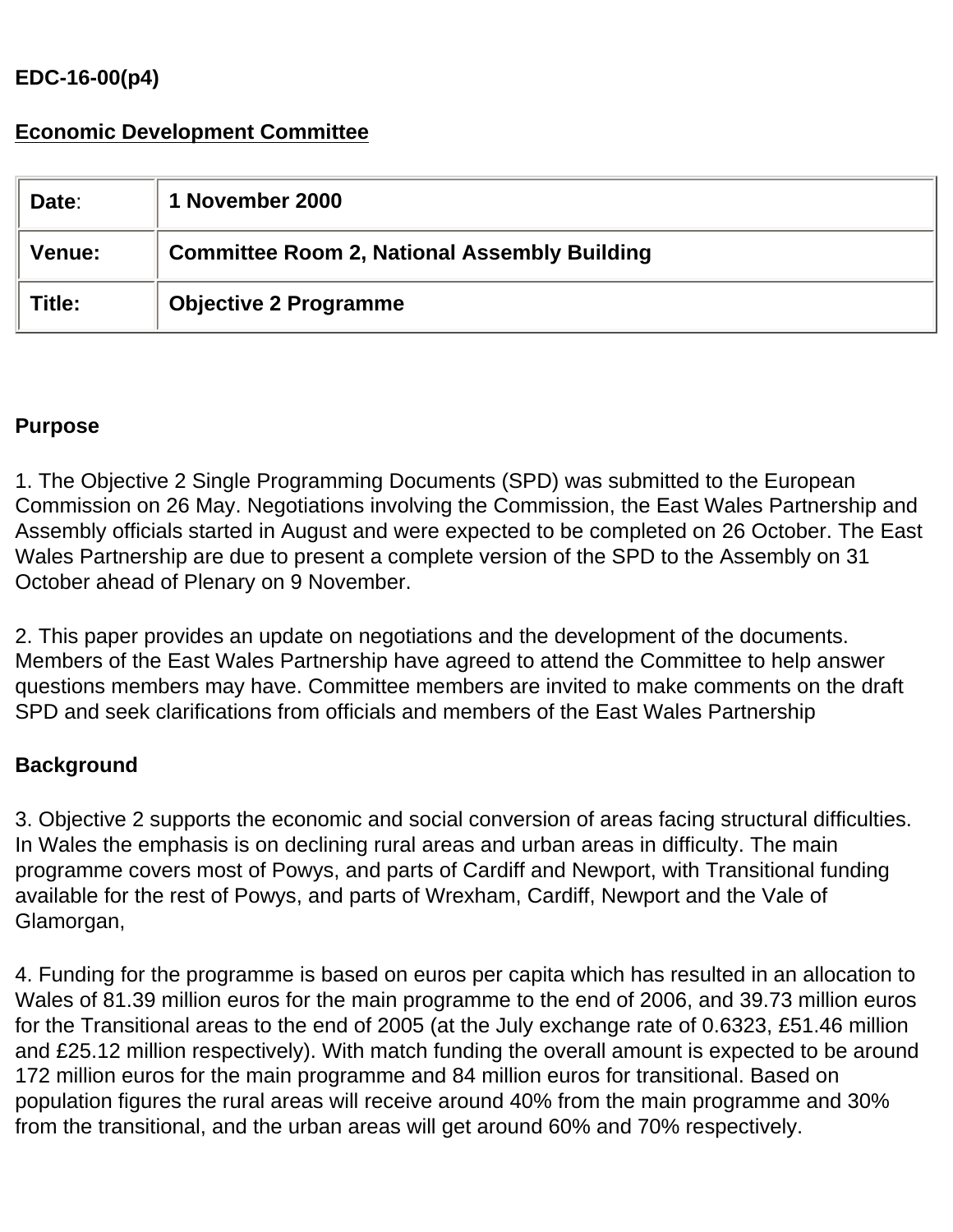## **EDC-16-00(p4)**

# **Economic Development Committee**

| Date:  | 1 November 2000                                     |
|--------|-----------------------------------------------------|
| Venue: | <b>Committee Room 2, National Assembly Building</b> |
| Title: | <b>Objective 2 Programme</b>                        |

### **Purpose**

1. The Objective 2 Single Programming Documents (SPD) was submitted to the European Commission on 26 May. Negotiations involving the Commission, the East Wales Partnership and Assembly officials started in August and were expected to be completed on 26 October. The East Wales Partnership are due to present a complete version of the SPD to the Assembly on 31 October ahead of Plenary on 9 November.

2. This paper provides an update on negotiations and the development of the documents. Members of the East Wales Partnership have agreed to attend the Committee to help answer questions members may have. Committee members are invited to make comments on the draft SPD and seek clarifications from officials and members of the East Wales Partnership

## **Background**

3. Objective 2 supports the economic and social conversion of areas facing structural difficulties. In Wales the emphasis is on declining rural areas and urban areas in difficulty. The main programme covers most of Powys, and parts of Cardiff and Newport, with Transitional funding available for the rest of Powys, and parts of Wrexham, Cardiff, Newport and the Vale of Glamorgan,

4. Funding for the programme is based on euros per capita which has resulted in an allocation to Wales of 81.39 million euros for the main programme to the end of 2006, and 39.73 million euros for the Transitional areas to the end of 2005 (at the July exchange rate of 0.6323, £51.46 million and £25.12 million respectively). With match funding the overall amount is expected to be around 172 million euros for the main programme and 84 million euros for transitional. Based on population figures the rural areas will receive around 40% from the main programme and 30% from the transitional, and the urban areas will get around 60% and 70% respectively.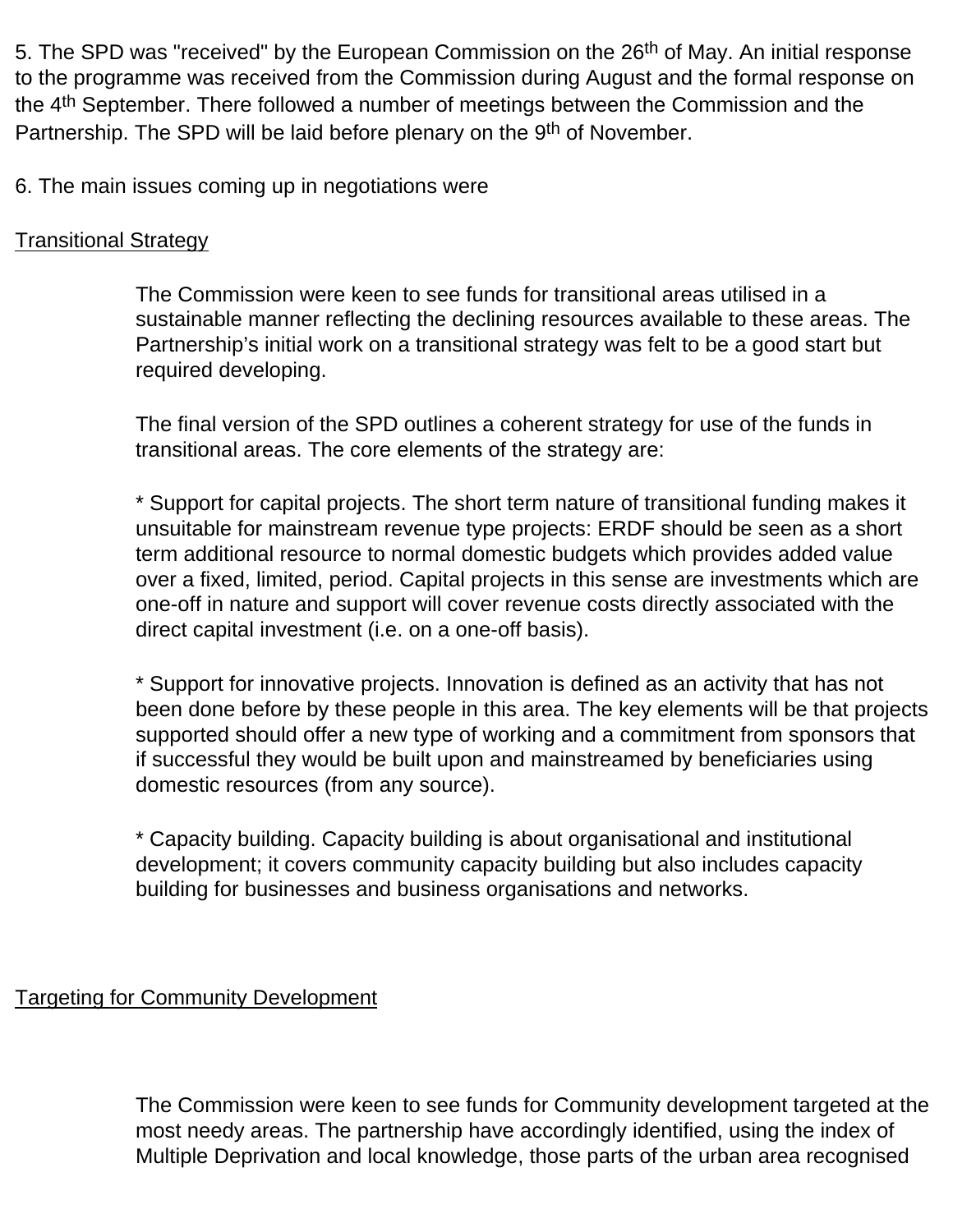5. The SPD was "received" by the European Commission on the 26<sup>th</sup> of May. An initial response to the programme was received from the Commission during August and the formal response on the 4th September. There followed a number of meetings between the Commission and the Partnership. The SPD will be laid before plenary on the 9<sup>th</sup> of November.

6. The main issues coming up in negotiations were

#### Transitional Strategy

The Commission were keen to see funds for transitional areas utilised in a sustainable manner reflecting the declining resources available to these areas. The Partnership's initial work on a transitional strategy was felt to be a good start but required developing.

The final version of the SPD outlines a coherent strategy for use of the funds in transitional areas. The core elements of the strategy are:

\* Support for capital projects. The short term nature of transitional funding makes it unsuitable for mainstream revenue type projects: ERDF should be seen as a short term additional resource to normal domestic budgets which provides added value over a fixed, limited, period. Capital projects in this sense are investments which are one-off in nature and support will cover revenue costs directly associated with the direct capital investment (i.e. on a one-off basis).

\* Support for innovative projects. Innovation is defined as an activity that has not been done before by these people in this area. The key elements will be that projects supported should offer a new type of working and a commitment from sponsors that if successful they would be built upon and mainstreamed by beneficiaries using domestic resources (from any source).

\* Capacity building. Capacity building is about organisational and institutional development; it covers community capacity building but also includes capacity building for businesses and business organisations and networks.

## Targeting for Community Development

The Commission were keen to see funds for Community development targeted at the most needy areas. The partnership have accordingly identified, using the index of Multiple Deprivation and local knowledge, those parts of the urban area recognised